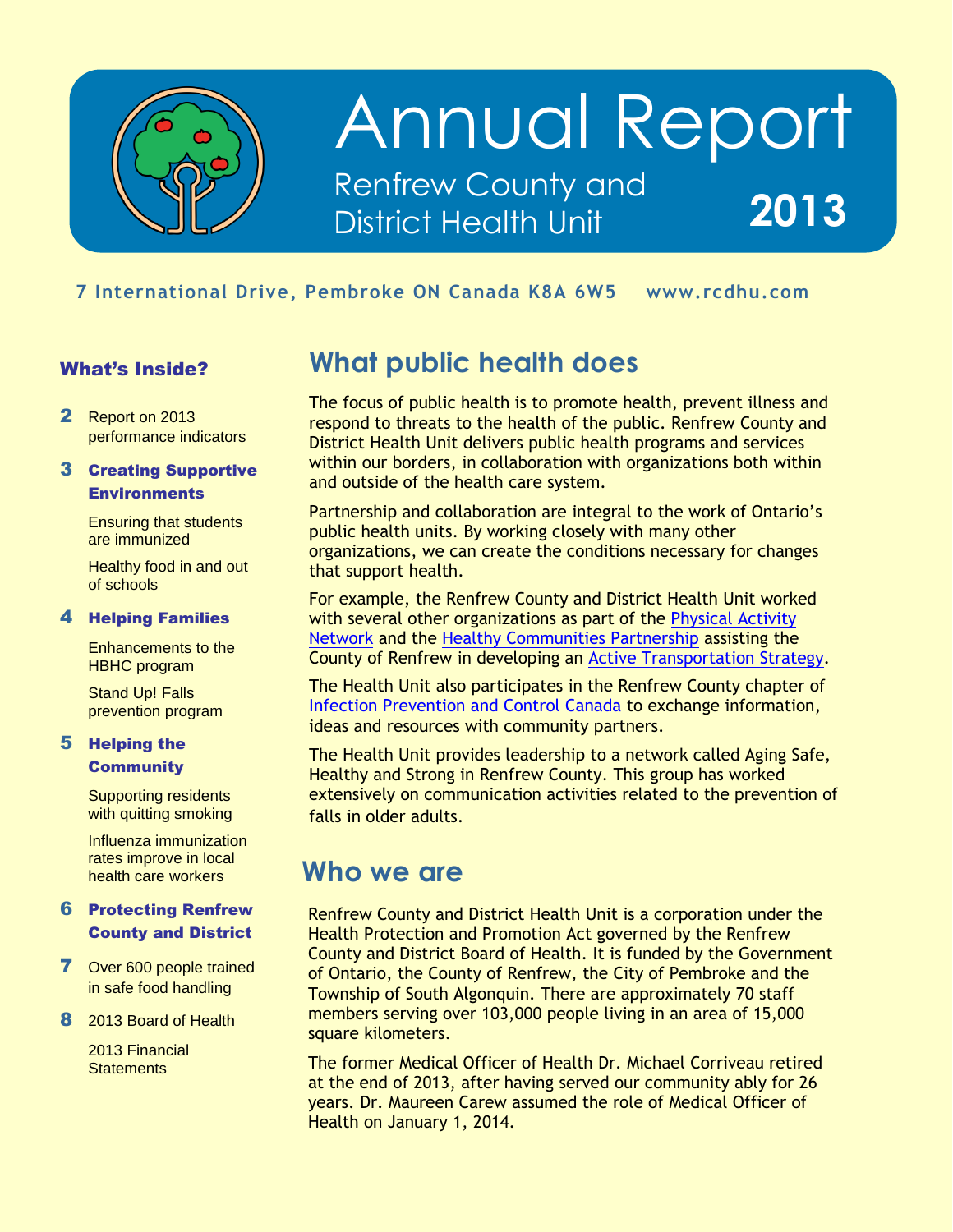

## Annual Report Renfrew County and District Health Unit **2013**

### mbroke <mark>ON</mark> Ca **7 International Drive, Pembroke ON Canada K8A 6W5 www.rcdhu.com**

#### What's Inside?

2 Report on 2013 performance indicators

#### 3 Creating Supportive **Environments**

Ensuring that students are immunized

Healthy food in and out of schools

#### 4 Helping Families

Enhancements to the HBHC program

Stand Up! Falls prevention program

#### 5 Helping the **Community**

Supporting residents with quitting smoking

Influenza immunization rates improve in local health care workers

#### 6 Protecting Renfrew County and District

- **7** Over 600 people trained in safe food handling
- 8 2013 Board of Health

2013 Financial **Statements** 

### **What public health does**

The focus of public health is to promote health, prevent illness and respond to threats to the health of the public. Renfrew County and District Health Unit delivers public health programs and services within our borders, in collaboration with organizations both within and outside of the health care system.

Partnership and collaboration are integral to the work of Ontario's public health units. By working closely with many other organizations, we can create the conditions necessary for changes that support health.

For example, the Renfrew County and District Health Unit worked with several other organizations as part of the [Physical Activity](http://www.physicalactivitynetwork.ca/about-panrc)  [Network](http://www.physicalactivitynetwork.ca/about-panrc) and the [Healthy Communities Partnership](http://www.physicalactivitynetwork.ca/HCP) assisting the County of Renfrew in developing an [Active Transportation Strategy.](http://www.physicalactivitynetwork.ca/sites/default/files/page/files/ATS-RenfrewCounty-Apr25.pdf)

The Health Unit also participates in the Renfrew County chapter of [Infection Prevention and Control Canada](http://www.ipac-canada.org/) to exchange information, ideas and resources with community partners.

The Health Unit provides leadership to a network called Aging Safe, Healthy and Strong in Renfrew County. This group has worked extensively on communication activities related to the prevention of falls in older adults.

### **Who we are**

Renfrew County and District Health Unit is a corporation under the Health Protection and Promotion Act governed by the Renfrew County and District Board of Health. It is funded by the Government of Ontario, the County of Renfrew, the City of Pembroke and the Township of South Algonquin. There are approximately 70 staff members serving over 103,000 people living in an area of 15,000 square kilometers.

The former Medical Officer of Health Dr. Michael Corriveau retired at the end of 2013, after having served our community ably for 26 years. Dr. Maureen Carew assumed the role of Medical Officer of Health on January 1, 2014.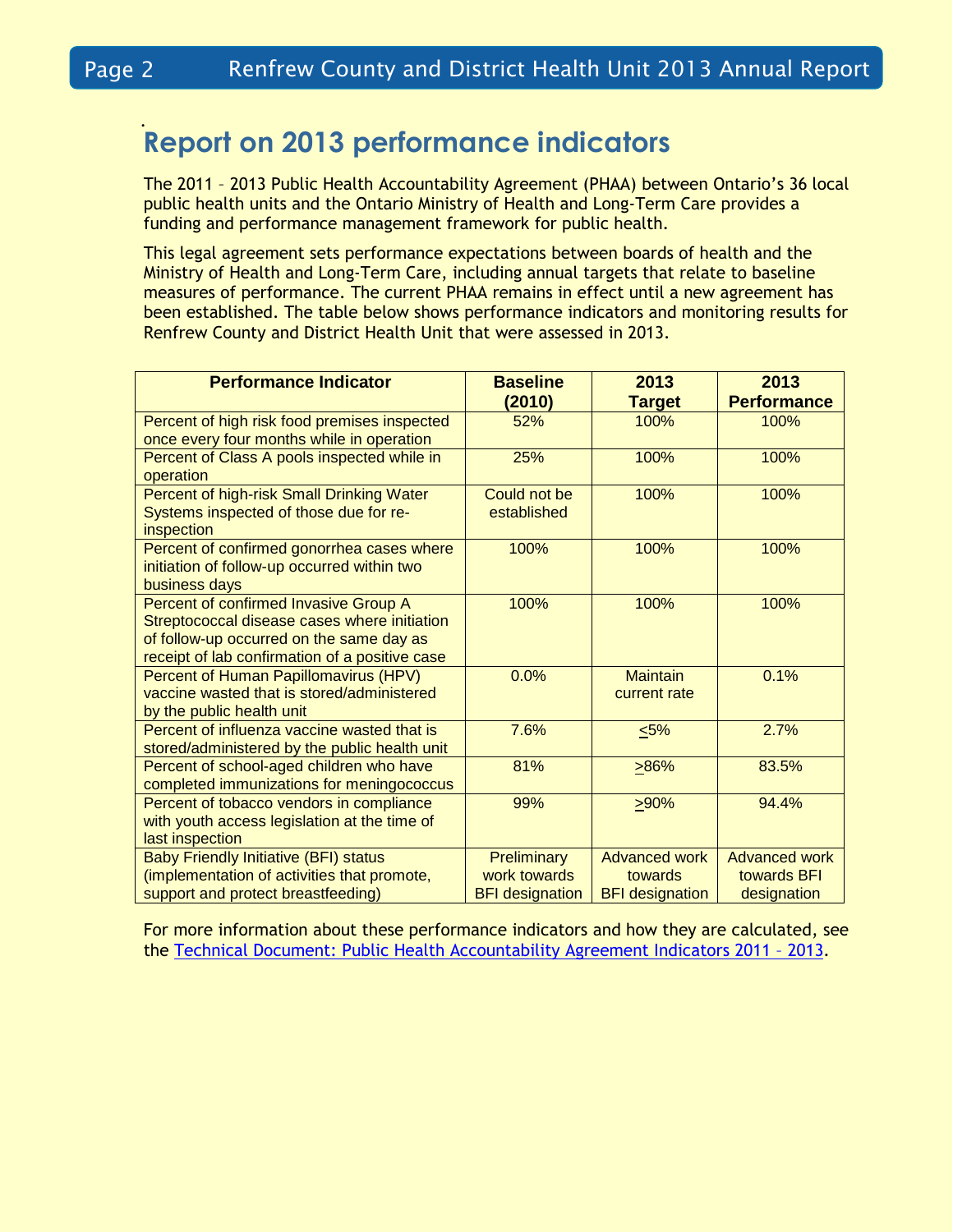### . **Report on 2013 performance indicators**

The 2011 – 2013 Public Health Accountability Agreement (PHAA) between Ontario's 36 local public health units and the Ontario Ministry of Health and Long-Term Care provides a funding and performance management framework for public health.

This legal agreement sets performance expectations between boards of health and the Ministry of Health and Long-Term Care, including annual targets that relate to baseline measures of performance. The current PHAA remains in effect until a new agreement has been established. The table below shows performance indicators and monitoring results for Renfrew County and District Health Unit that were assessed in 2013.

| <b>Performance Indicator</b>                           | <b>Baseline</b>        | 2013                   | 2013                 |
|--------------------------------------------------------|------------------------|------------------------|----------------------|
|                                                        | (2010)                 | <b>Target</b>          | <b>Performance</b>   |
| Percent of high risk food premises inspected           | 52%                    | 100%                   | 100%                 |
| once every four months while in operation              |                        |                        |                      |
| Percent of Class A pools inspected while in            | 25%                    | 100%                   | 100%                 |
| operation                                              |                        |                        |                      |
| Percent of high-risk Small Drinking Water              | Could not be           | 100%                   | 100%                 |
| Systems inspected of those due for re-                 | established            |                        |                      |
| inspection                                             |                        |                        |                      |
| Percent of confirmed gonorrhea cases where             | 100%                   | 100%                   | 100%                 |
| initiation of follow-up occurred within two            |                        |                        |                      |
| business days<br>Percent of confirmed Invasive Group A | 100%                   | 100%                   | 100%                 |
| Streptococcal disease cases where initiation           |                        |                        |                      |
| of follow-up occurred on the same day as               |                        |                        |                      |
| receipt of lab confirmation of a positive case         |                        |                        |                      |
| Percent of Human Papillomavirus (HPV)                  | 0.0%                   | <b>Maintain</b>        | 0.1%                 |
| vaccine wasted that is stored/administered             |                        | current rate           |                      |
| by the public health unit                              |                        |                        |                      |
| Percent of influenza vaccine wasted that is            | 7.6%                   | $5\%$                  | 2.7%                 |
| stored/administered by the public health unit          |                        |                        |                      |
| Percent of school-aged children who have               | 81%                    | >86%                   | 83.5%                |
| completed immunizations for meningococcus              |                        |                        |                      |
| Percent of tobacco vendors in compliance               | 99%                    | 290%                   | 94.4%                |
| with youth access legislation at the time of           |                        |                        |                      |
| last inspection                                        |                        |                        |                      |
| <b>Baby Friendly Initiative (BFI) status</b>           | Preliminary            | <b>Advanced work</b>   | <b>Advanced work</b> |
| (implementation of activities that promote,            | work towards           | towards                | towards BFI          |
| support and protect breastfeeding)                     | <b>BFI</b> designation | <b>BFI</b> designation | designation          |

For more information about these performance indicators and how they are calculated, see the [Technical Document: Public Health Accountability Agreement Indicators 2011](http://www.health.gov.on.ca/en/pro/programs/publichealth/performance/docs/technical_document.pdf) – 2013.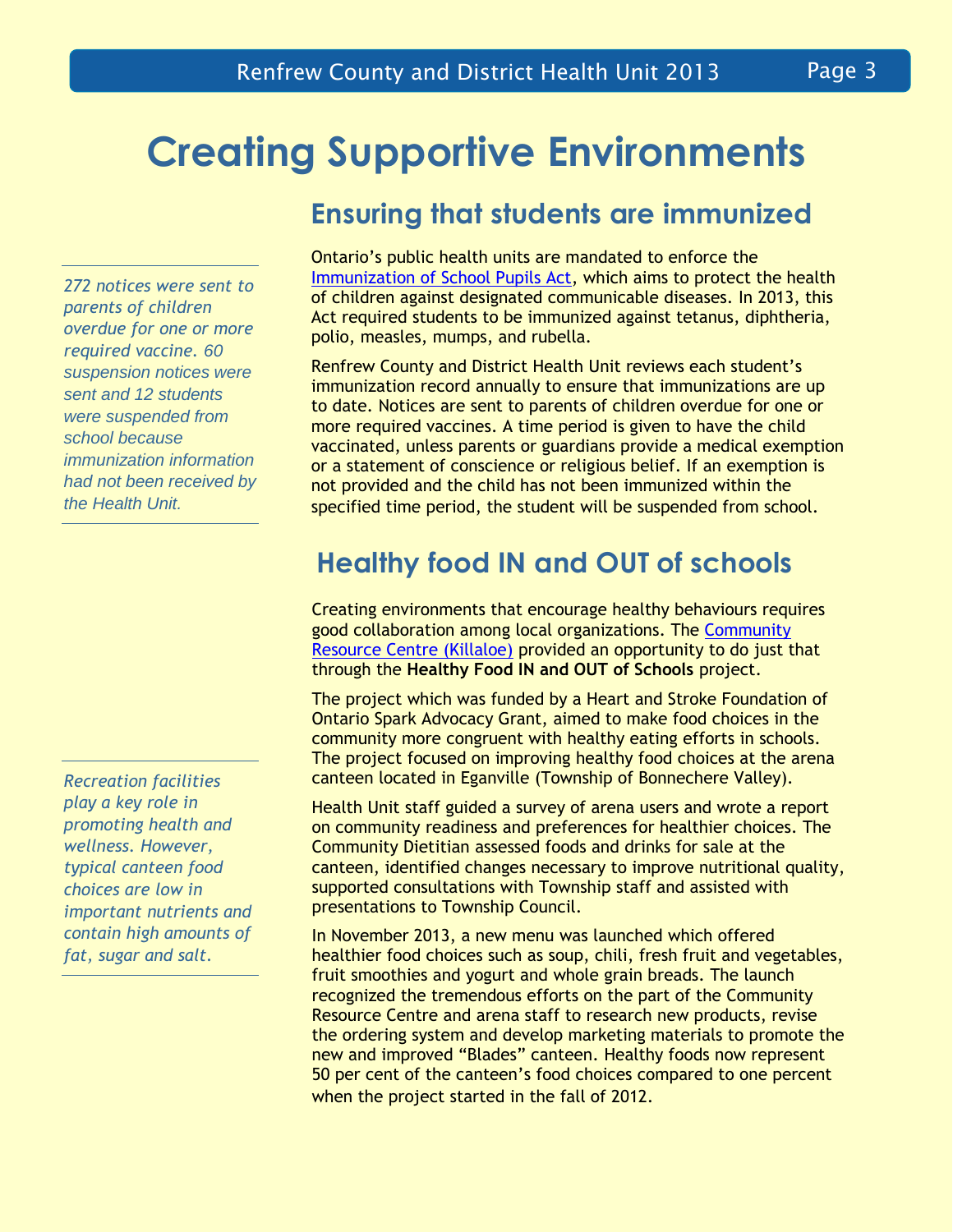## **Creating Supportive Environments**

**Ensuring that students are immunized**

*272 notices were sent to parents of children overdue for one or more required vaccine. 60 suspension notices were sent and 12 students were suspended from school because immunization information had not been received by the Health Unit.*

*Recreation facilities play a key role in promoting health and wellness. However, typical canteen food choices are low in important nutrients and contain high amounts of fat, sugar and salt.*

Ontario's public health units are mandated to enforce the [Immunization of School Pupils Act,](https://www.e-laws.gov.on.ca/html/statutes/english/elaws_statutes_90i01_e.htm) which aims to protect the health of children against designated communicable diseases. In 2013, this Act required students to be immunized against tetanus, diphtheria, polio, measles, mumps, and rubella.

Renfrew County and District Health Unit reviews each student's immunization record annually to ensure that immunizations are up to date. Notices are sent to parents of children overdue for one or more required vaccines. A time period is given to have the child vaccinated, unless parents or guardians provide a medical exemption or a statement of conscience or religious belief. If an exemption is not provided and the child has not been immunized within the specified time period, the student will be suspended from school.

### **Healthy food IN and OUT of schools**

Creating environments that encourage healthy behaviours requires good collaboration among local organizations. The [Community](http://www.crc-renfrewcounty.com/)  [Resource Centre \(Killaloe\)](http://www.crc-renfrewcounty.com/) provided an opportunity to do just that through the **Healthy Food IN and OUT of Schools** project.

The project which was funded by a Heart and Stroke Foundation of Ontario Spark Advocacy Grant, aimed to make food choices in the community more congruent with healthy eating efforts in schools. The project focused on improving healthy food choices at the arena canteen located in Eganville (Township of Bonnechere Valley).

Health Unit staff guided a survey of arena users and wrote a report on community readiness and preferences for healthier choices. The Community Dietitian assessed foods and drinks for sale at the canteen, identified changes necessary to improve nutritional quality, supported consultations with Township staff and assisted with presentations to Township Council.

In November 2013, a new menu was launched which offered healthier food choices such as soup, chili, fresh fruit and vegetables, fruit smoothies and yogurt and whole grain breads. The launch recognized the tremendous efforts on the part of the Community Resource Centre and arena staff to research new products, revise the ordering system and develop marketing materials to promote the new and improved "Blades" canteen. Healthy foods now represent 50 per cent of the canteen's food choices compared to one percent when the project started in the fall of 2012.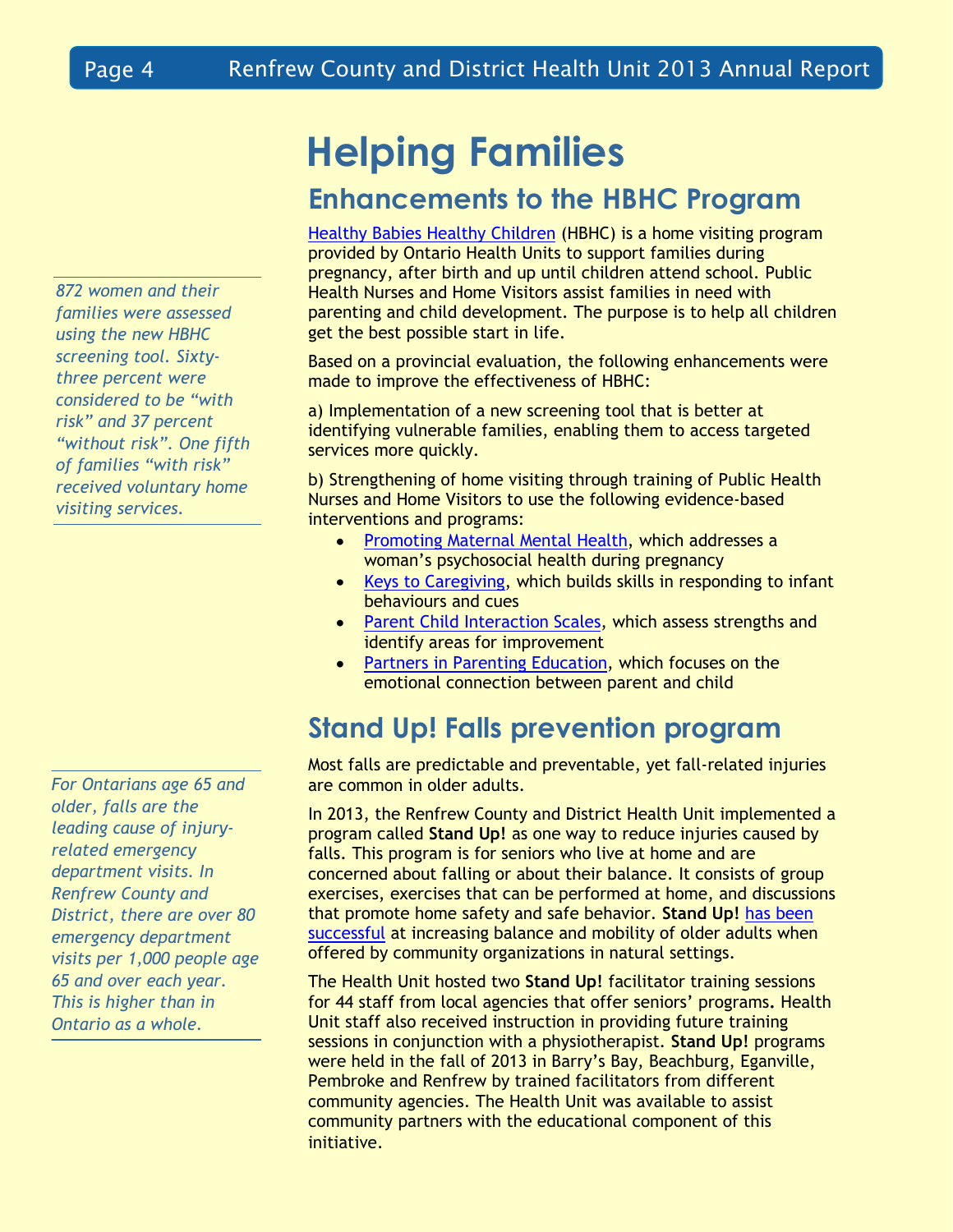*872 women and their families were assessed using the new HBHC screening tool. Sixtythree percent were considered to be "with risk" and 37 percent "without risk". One fifth of families "with risk" received voluntary home visiting services.*

*For Ontarians age 65 and older, falls are the leading cause of injuryrelated emergency department visits. In Renfrew County and District, there are over 80 emergency department visits per 1,000 people age 65 and over each year. This is higher than in Ontario as a whole.*

## **Helping Families**

### **Enhancements to the HBHC Program**

[Healthy Babies Healthy Children](http://www.rcdhu.com/Pages/ChildHealth/hbhc.html) (HBHC) is a home visiting program provided by Ontario Health Units to support families during pregnancy, after birth and up until children attend school. Public Health Nurses and Home Visitors assist families in need with parenting and child development. The purpose is to help all children get the best possible start in life.

Based on a provincial evaluation, the following enhancements were made to improve the effectiveness of HBHC:

a) Implementation of a new screening tool that is better at identifying vulnerable families, enabling them to access targeted services more quickly.

b) Strengthening of home visiting through training of Public Health Nurses and Home Visitors to use the following evidence-based interventions and programs:

- [Promoting Maternal Mental Health,](http://www.ncast.org/index.cfm?category=22) which addresses a woman's psychosocial health during pregnancy
- [Keys to Caregiving,](http://www.ncast.org/index.cfm?category=18) which builds skills in responding to infant behaviours and cues
- [Parent Child Interaction Scales,](http://www.ncast.org/index.cfm?category=2) which assess strengths and identify areas for improvement
- $\bullet$ [Partners in Parenting Education,](http://www.cebc4cw.org/program/partners-in-parenting-education-pipe/detailed) which focuses on the emotional connection between parent and child

### **Stand Up! Falls prevention program**

Most falls are predictable and preventable, yet fall-related injuries are common in older adults.

In 2013, the Renfrew County and District Health Unit implemented a program called **Stand Up!** as one way to reduce injuries caused by falls. This program is for seniors who live at home and are concerned about falling or about their balance. It consists of group exercises, exercises that can be performed at home, and discussions that promote home safety and safe behavior. **Stand Up!** [has been](http://www.ncbi.nlm.nih.gov/pmc/articles/PMC1449482/)  [successful](http://www.ncbi.nlm.nih.gov/pmc/articles/PMC1449482/) at increasing balance and mobility of older adults when offered by community organizations in natural settings.

The Health Unit hosted two **Stand Up!** facilitator training sessions for 44 staff from local agencies that offer seniors' programs**.** Health Unit staff also received instruction in providing future training sessions in conjunction with a physiotherapist. **Stand Up!** programs were held in the fall of 2013 in Barry's Bay, Beachburg, Eganville, Pembroke and Renfrew by trained facilitators from different community agencies. The Health Unit was available to assist community partners with the educational component of this initiative.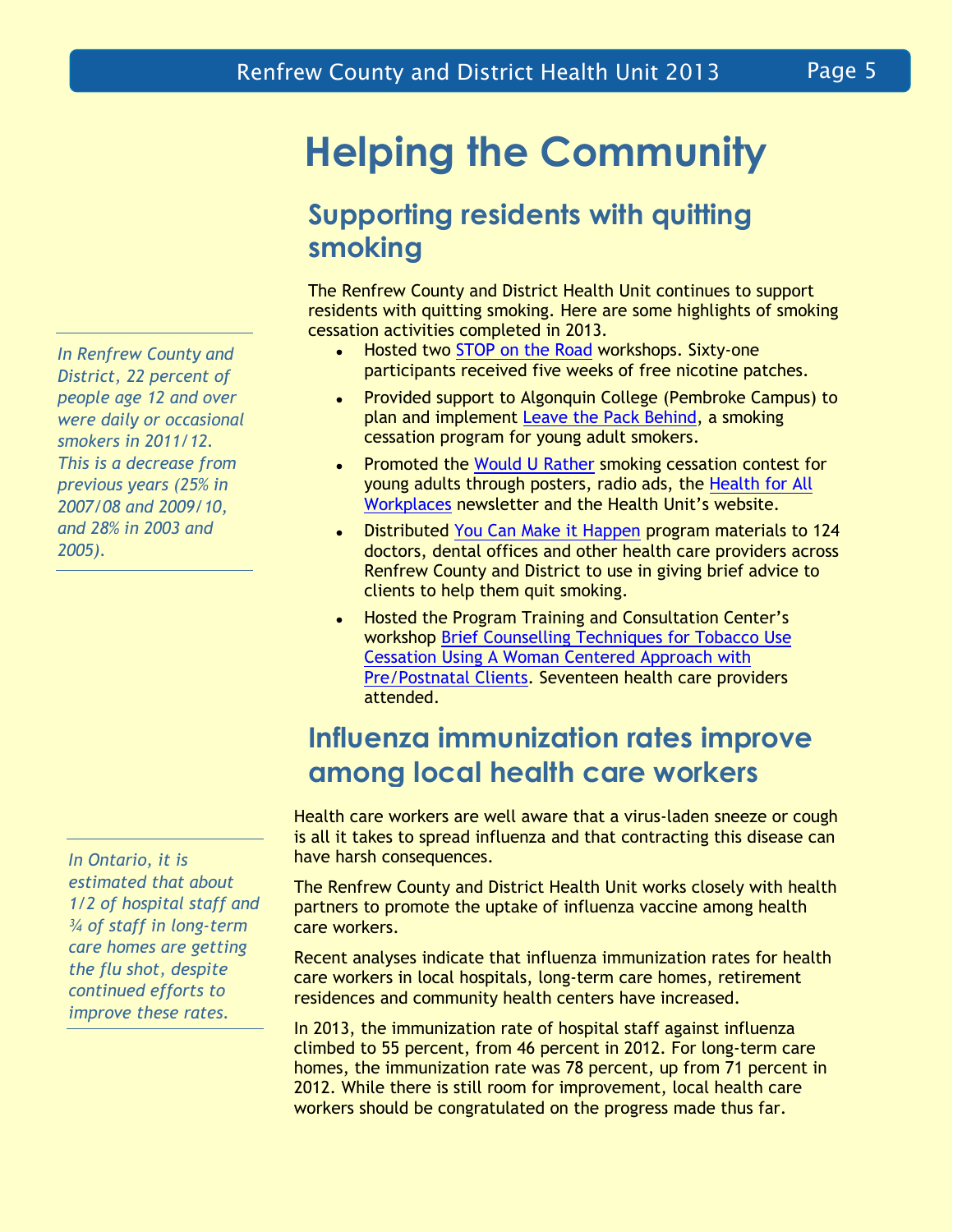*In Renfrew County and District, 22 percent of people age 12 and over were daily or occasional smokers in 2011/12. This is a decrease from previous years (25% in 2007/08 and 2009/10, and 28% in 2003 and 2005).*

*In Ontario, it is estimated that about 1/2 of hospital staff and ¾ of staff in long-term care homes are getting the flu shot, despite continued efforts to improve these rates.*

## **Helping the Community**

### **Supporting residents with quitting smoking**

The Renfrew County and District Health Unit continues to support residents with quitting smoking. Here are some highlights of smoking cessation activities completed in 2013.

- Hosted two [STOP on the Road](https://www.nicotinedependenceclinic.com/English/stop/Pages/Participate%20in%20STOP/STOP%20on%20the%20Road.aspx) workshops. Sixty-one  $\bullet$ participants received five weeks of free nicotine patches.
- Provided support to Algonquin College (Pembroke Campus) to  $\bullet$ plan and implement [Leave the Pack Behind,](http://www.leavethepackbehind.org/about.php) a smoking cessation program for young adult smokers.
- Promoted the [Would U Rather](http://www.leavethepackbehind.org/contest_eligibility.php) smoking cessation contest for  $\bullet$ young adults through posters, radio ads, the [Health for All](http://www.rcdhu.com/Publications/workplace-newslette-2013-winter.pdf)  [Workplaces](http://www.rcdhu.com/Publications/workplace-newslette-2013-winter.pdf) newsletter and the Health Unit's website.
- Distributed [You Can Make it Happen](http://youcanmakeithappen.ca/) program materials to 124  $\bullet$ doctors, dental offices and other health care providers across Renfrew County and District to use in giving brief advice to clients to help them quit smoking.
- Hosted the Program Training and Consultation Center's  $\bullet$ workshop [Brief Counselling Techniques for Tobacco Use](https://www.ptcc-cfc.on.ca/training/workshops/smoking_cessation/)  [Cessation Using A Woman Centered Approach with](https://www.ptcc-cfc.on.ca/training/workshops/smoking_cessation/)  [Pre/Postnatal Clients.](https://www.ptcc-cfc.on.ca/training/workshops/smoking_cessation/) Seventeen health care providers attended.

### **Influenza immunization rates improve among local health care workers**

Health care workers are well aware that a virus-laden sneeze or cough is all it takes to spread influenza and that contracting this disease can have harsh consequences.

The Renfrew County and District Health Unit works closely with health partners to promote the uptake of influenza vaccine among health care workers.

Recent analyses indicate that influenza immunization rates for health care workers in local hospitals, long-term care homes, retirement residences and community health centers have increased.

In 2013, the immunization rate of hospital staff against influenza climbed to 55 percent, from 46 percent in 2012. For long-term care homes, the immunization rate was 78 percent, up from 71 percent in 2012. While there is still room for improvement, local health care workers should be congratulated on the progress made thus far.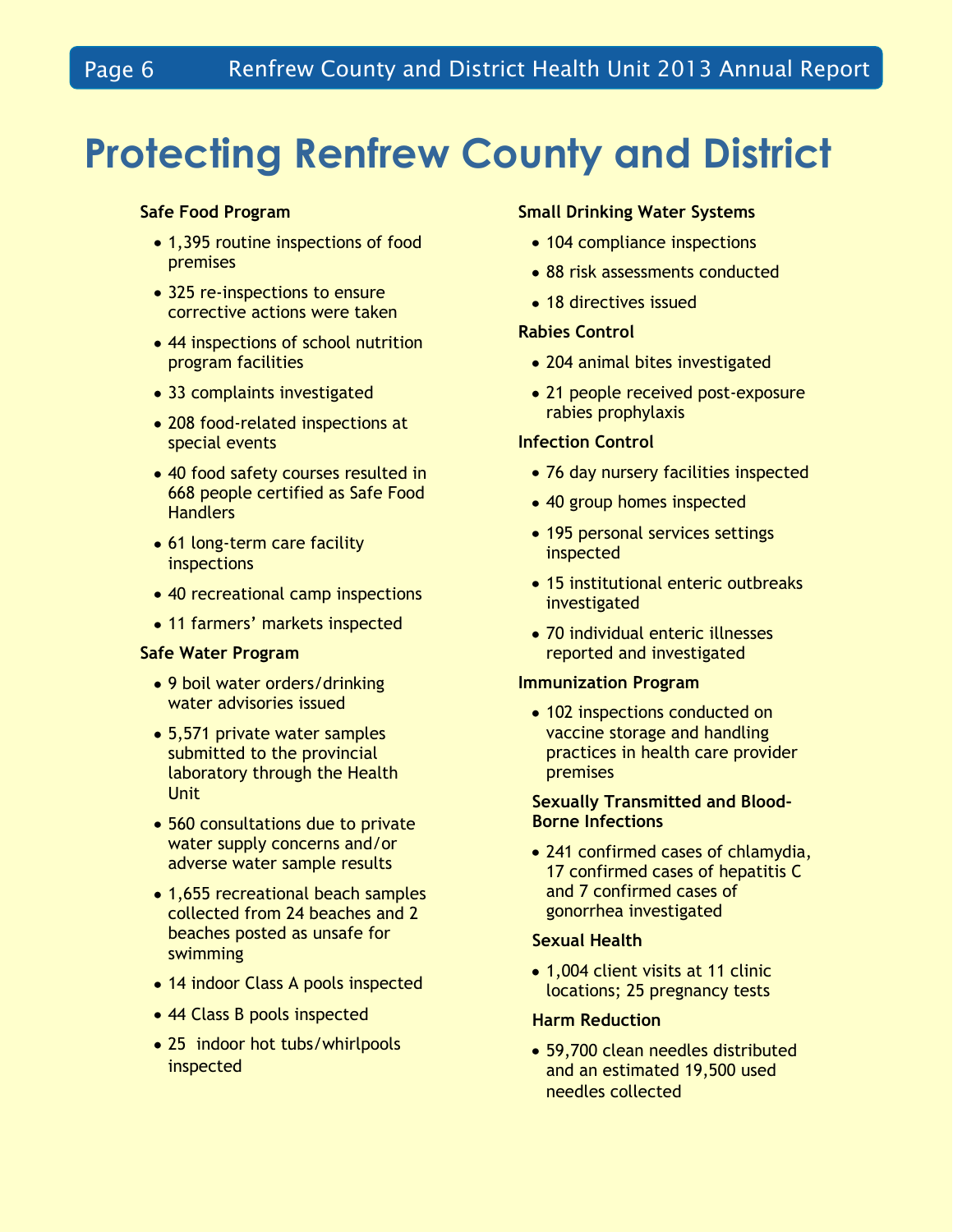# **Protecting Renfrew County and District**

#### **Safe Food Program**

- 1,395 routine inspections of food premises
- 325 re-inspections to ensure corrective actions were taken
- 44 inspections of school nutrition program facilities
- 33 complaints investigated
- 208 food-related inspections at special events
- 40 food safety courses resulted in 668 people certified as Safe Food **Handlers**
- 61 long-term care facility inspections
- 40 recreational camp inspections
- 11 farmers' markets inspected

#### **Safe Water Program**

- 9 boil water orders/drinking water advisories issued
- 5,571 private water samples submitted to the provincial laboratory through the Health Unit
- 560 consultations due to private water supply concerns and/or adverse water sample results
- 1,655 recreational beach samples collected from 24 beaches and 2 beaches posted as unsafe for swimming
- 14 indoor Class A pools inspected
- 44 Class B pools inspected
- 25 indoor hot tubs/whirlpools inspected

#### **Small Drinking Water Systems**

- 104 compliance inspections
- 88 risk assessments conducted
- 18 directives issued

#### **Rabies Control**

- 204 animal bites investigated
- 21 people received post-exposure rabies prophylaxis

#### **Infection Control**

- 76 day nursery facilities inspected
- 40 group homes inspected
- 195 personal services settings inspected
- 15 institutional enteric outbreaks investigated
- 70 individual enteric illnesses reported and investigated

#### **Immunization Program**

• 102 inspections conducted on vaccine storage and handling practices in health care provider premises

#### **Sexually Transmitted and Blood-Borne Infections**

• 241 confirmed cases of chlamydia, 17 confirmed cases of hepatitis C and 7 confirmed cases of gonorrhea investigated

#### **Sexual Health**

• 1,004 client visits at 11 clinic locations; 25 pregnancy tests

#### **Harm Reduction**

59,700 clean needles distributed and an estimated 19,500 used needles collected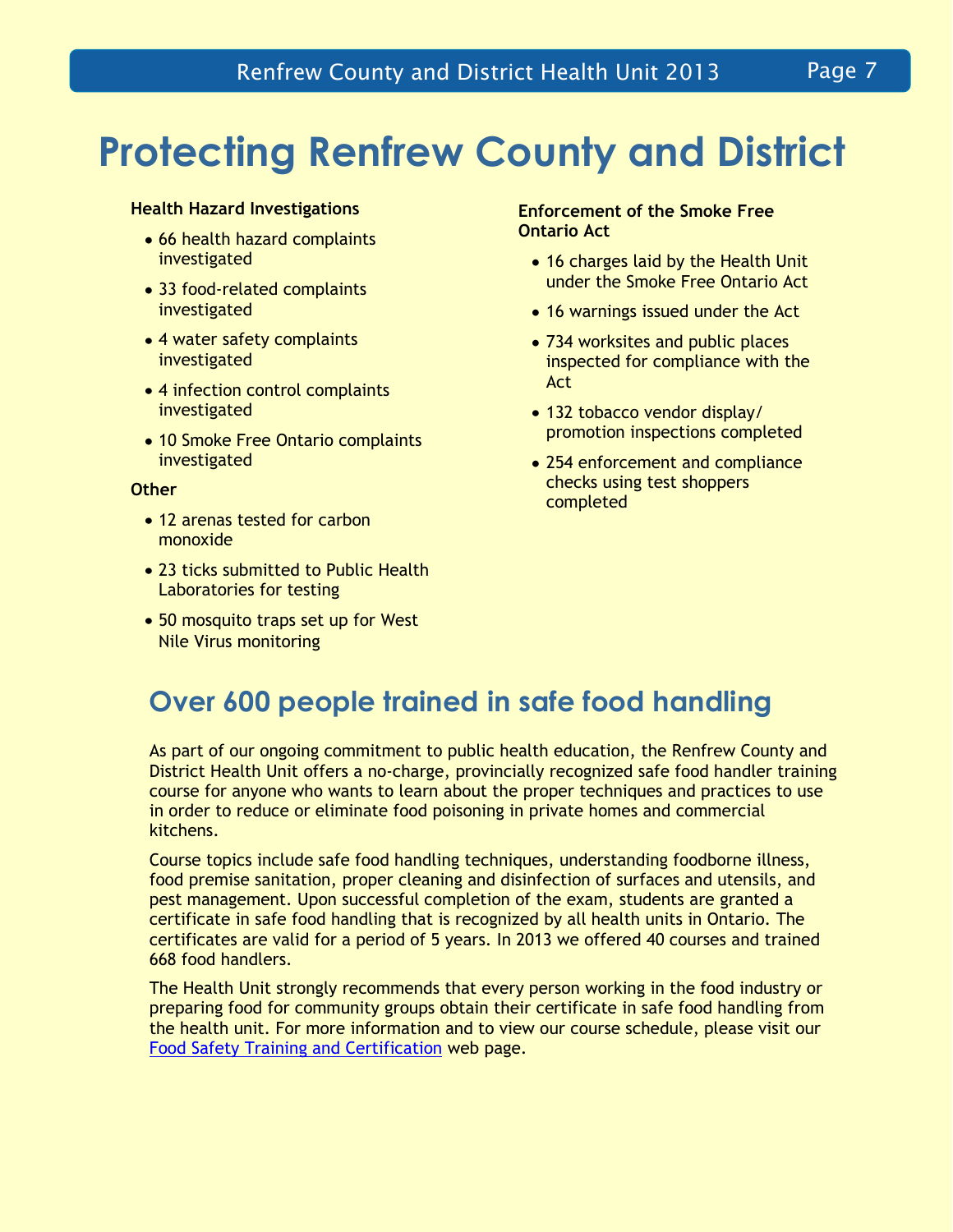## **Protecting Renfrew County and District**

#### **Health Hazard Investigations**

- 66 health hazard complaints investigated
- 33 food-related complaints investigated
- 4 water safety complaints investigated
- 4 infection control complaints investigated
- 10 Smoke Free Ontario complaints investigated

#### **Other**

- 12 arenas tested for carbon monoxide
- 23 ticks submitted to Public Health Laboratories for testing
- 50 mosquito traps set up for West Nile Virus monitoring

#### **Enforcement of the Smoke Free Ontario Act**

- 16 charges laid by the Health Unit under the Smoke Free Ontario Act
- 16 warnings issued under the Act
- 734 worksites and public places inspected for compliance with the Act
- 132 tobacco vendor display/ promotion inspections completed
- 254 enforcement and compliance checks using test shoppers completed

### **Over 600 people trained in safe food handling**

As part of our ongoing commitment to public health education, the Renfrew County and District Health Unit offers a no-charge, provincially recognized safe food handler training course for anyone who wants to learn about the proper techniques and practices to use in order to reduce or eliminate food poisoning in private homes and commercial kitchens.

Course topics include safe food handling techniques, understanding foodborne illness, food premise sanitation, proper cleaning and disinfection of surfaces and utensils, and pest management. Upon successful completion of the exam, students are granted a certificate in safe food handling that is recognized by all health units in Ontario. The certificates are valid for a period of 5 years. In 2013 we offered 40 courses and trained 668 food handlers.

The Health Unit strongly recommends that every person working in the food industry or preparing food for community groups obtain their certificate in safe food handling from the health unit. For more information and to view our course schedule, please visit our [Food Safety Training and Certification](http://www.rcdhu.com/Pages/Food/classes-food-safety.html) web page.